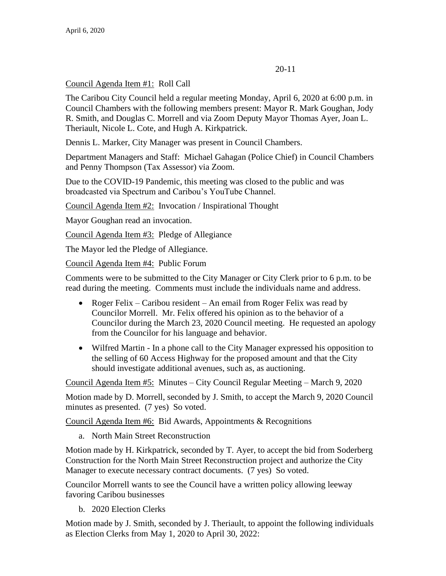## 20-11

## Council Agenda Item #1: Roll Call

The Caribou City Council held a regular meeting Monday, April 6, 2020 at 6:00 p.m. in Council Chambers with the following members present: Mayor R. Mark Goughan, Jody R. Smith, and Douglas C. Morrell and via Zoom Deputy Mayor Thomas Ayer, Joan L. Theriault, Nicole L. Cote, and Hugh A. Kirkpatrick.

Dennis L. Marker, City Manager was present in Council Chambers.

Department Managers and Staff: Michael Gahagan (Police Chief) in Council Chambers and Penny Thompson (Tax Assessor) via Zoom.

Due to the COVID-19 Pandemic, this meeting was closed to the public and was broadcasted via Spectrum and Caribou's YouTube Channel.

Council Agenda Item #2: Invocation / Inspirational Thought

Mayor Goughan read an invocation.

Council Agenda Item #3: Pledge of Allegiance

The Mayor led the Pledge of Allegiance.

Council Agenda Item #4: Public Forum

Comments were to be submitted to the City Manager or City Clerk prior to 6 p.m. to be read during the meeting. Comments must include the individuals name and address.

- Roger Felix Caribou resident An email from Roger Felix was read by Councilor Morrell. Mr. Felix offered his opinion as to the behavior of a Councilor during the March 23, 2020 Council meeting. He requested an apology from the Councilor for his language and behavior.
- Wilfred Martin In a phone call to the City Manager expressed his opposition to the selling of 60 Access Highway for the proposed amount and that the City should investigate additional avenues, such as, as auctioning.

Council Agenda Item #5: Minutes – City Council Regular Meeting – March 9, 2020

Motion made by D. Morrell, seconded by J. Smith, to accept the March 9, 2020 Council minutes as presented. (7 yes) So voted.

Council Agenda Item #6: Bid Awards, Appointments & Recognitions

a. North Main Street Reconstruction

Motion made by H. Kirkpatrick, seconded by T. Ayer, to accept the bid from Soderberg Construction for the North Main Street Reconstruction project and authorize the City Manager to execute necessary contract documents. (7 yes) So voted.

Councilor Morrell wants to see the Council have a written policy allowing leeway favoring Caribou businesses

b. 2020 Election Clerks

Motion made by J. Smith, seconded by J. Theriault, to appoint the following individuals as Election Clerks from May 1, 2020 to April 30, 2022: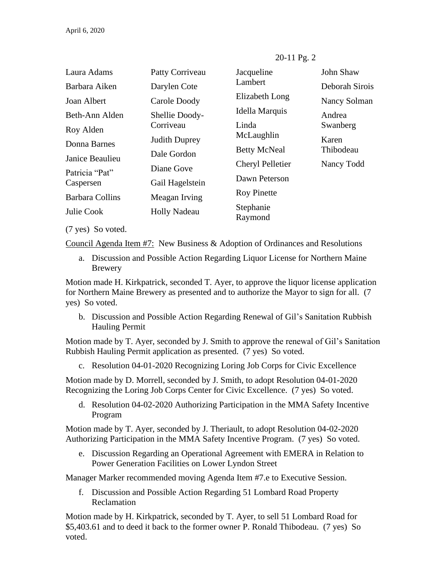| Laura Adams                 | Patty Corriveau      | Jacqueline           | John Shaw      |
|-----------------------------|----------------------|----------------------|----------------|
| Barbara Aiken               | Darylen Cote         | Lambert              | Deborah Sirois |
| Joan Albert                 | Carole Doody         | Elizabeth Long       | Nancy Solman   |
| Beth-Ann Alden              | Shellie Doody-       | Idella Marquis       | Andrea         |
| Roy Alden                   | Corriveau            | Linda                | Swanberg       |
| Donna Barnes                | <b>Judith Duprey</b> | McLaughlin           | Karen          |
| Janice Beaulieu             | Dale Gordon          | <b>Betty McNeal</b>  | Thibodeau      |
|                             | Diane Gove           | Cheryl Pelletier     | Nancy Todd     |
| Patricia "Pat"<br>Caspersen | Gail Hagelstein      | Dawn Peterson        |                |
| Barbara Collins             | Meagan Irving        | <b>Roy Pinette</b>   |                |
| Julie Cook                  | <b>Holly Nadeau</b>  | Stephanie<br>Raymond |                |
| (7 yes) So voted.           |                      |                      |                |

Council Agenda Item #7: New Business & Adoption of Ordinances and Resolutions

a. Discussion and Possible Action Regarding Liquor License for Northern Maine Brewery

Motion made H. Kirkpatrick, seconded T. Ayer, to approve the liquor license application for Northern Maine Brewery as presented and to authorize the Mayor to sign for all. (7 yes) So voted.

b. Discussion and Possible Action Regarding Renewal of Gil's Sanitation Rubbish Hauling Permit

Motion made by T. Ayer, seconded by J. Smith to approve the renewal of Gil's Sanitation Rubbish Hauling Permit application as presented. (7 yes) So voted.

c. Resolution 04-01-2020 Recognizing Loring Job Corps for Civic Excellence

Motion made by D. Morrell, seconded by J. Smith, to adopt Resolution 04-01-2020 Recognizing the Loring Job Corps Center for Civic Excellence. (7 yes) So voted.

d. Resolution 04-02-2020 Authorizing Participation in the MMA Safety Incentive Program

Motion made by T. Ayer, seconded by J. Theriault, to adopt Resolution 04-02-2020 Authorizing Participation in the MMA Safety Incentive Program. (7 yes) So voted.

e. Discussion Regarding an Operational Agreement with EMERA in Relation to Power Generation Facilities on Lower Lyndon Street

Manager Marker recommended moving Agenda Item #7.e to Executive Session.

f. Discussion and Possible Action Regarding 51 Lombard Road Property Reclamation

Motion made by H. Kirkpatrick, seconded by T. Ayer, to sell 51 Lombard Road for \$5,403.61 and to deed it back to the former owner P. Ronald Thibodeau. (7 yes) So voted.

#### 20-11 Pg. 2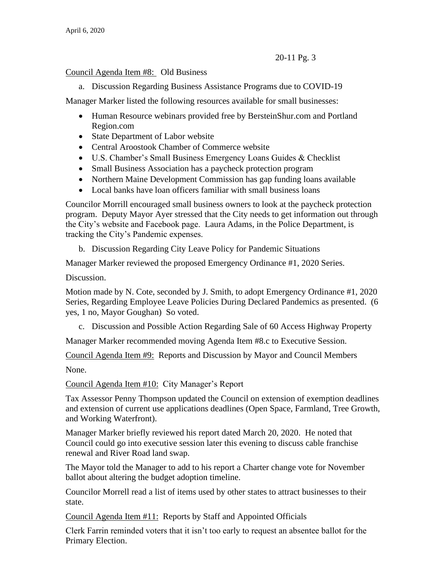# 20-11 Pg. 3

### Council Agenda Item #8: Old Business

a. Discussion Regarding Business Assistance Programs due to COVID-19

Manager Marker listed the following resources available for small businesses:

- Human Resource webinars provided free by BersteinShur.com and Portland Region.com
- State Department of Labor website
- Central Aroostook Chamber of Commerce website
- U.S. Chamber's Small Business Emergency Loans Guides & Checklist
- Small Business Association has a paycheck protection program
- Northern Maine Development Commission has gap funding loans available
- Local banks have loan officers familiar with small business loans

Councilor Morrill encouraged small business owners to look at the paycheck protection program. Deputy Mayor Ayer stressed that the City needs to get information out through the City's website and Facebook page. Laura Adams, in the Police Department, is tracking the City's Pandemic expenses.

b. Discussion Regarding City Leave Policy for Pandemic Situations

Manager Marker reviewed the proposed Emergency Ordinance #1, 2020 Series.

Discussion.

Motion made by N. Cote, seconded by J. Smith, to adopt Emergency Ordinance #1, 2020 Series, Regarding Employee Leave Policies During Declared Pandemics as presented. (6 yes, 1 no, Mayor Goughan) So voted.

c. Discussion and Possible Action Regarding Sale of 60 Access Highway Property

Manager Marker recommended moving Agenda Item #8.c to Executive Session.

Council Agenda Item #9: Reports and Discussion by Mayor and Council Members

None.

Council Agenda Item #10: City Manager's Report

Tax Assessor Penny Thompson updated the Council on extension of exemption deadlines and extension of current use applications deadlines (Open Space, Farmland, Tree Growth, and Working Waterfront).

Manager Marker briefly reviewed his report dated March 20, 2020. He noted that Council could go into executive session later this evening to discuss cable franchise renewal and River Road land swap.

The Mayor told the Manager to add to his report a Charter change vote for November ballot about altering the budget adoption timeline.

Councilor Morrell read a list of items used by other states to attract businesses to their state.

Council Agenda Item #11: Reports by Staff and Appointed Officials

Clerk Farrin reminded voters that it isn't too early to request an absentee ballot for the Primary Election.